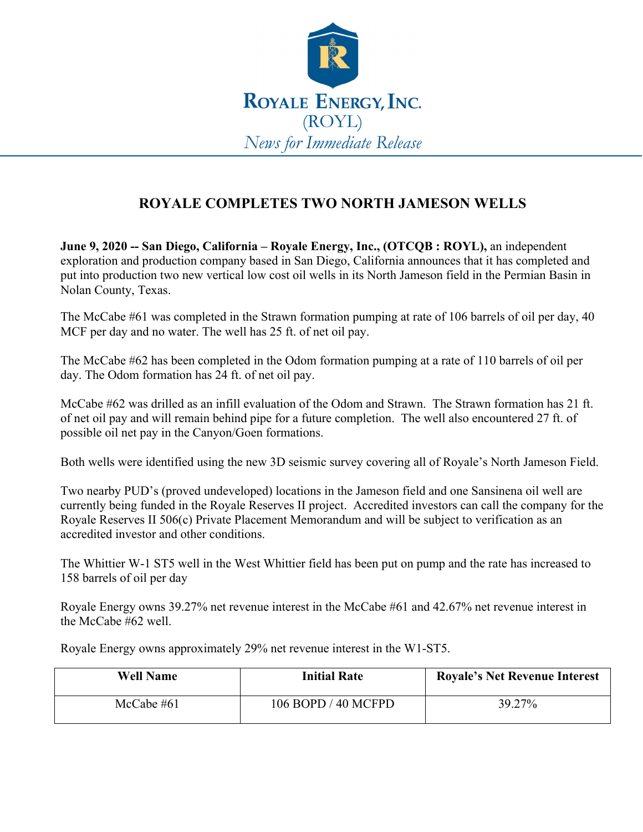

## **ROYALE COMPLETES TWO NORTH JAMESON WELLS**

**June 9, 2020 -- San Diego, California – Royale Energy, Inc., (OTCQB : ROYL),** an independent exploration and production company based in San Diego, California announces that it has completed and put into production two new vertical low cost oil wells in its North Jameson field in the Permian Basin in Nolan County, Texas.

The McCabe #61 was completed in the Strawn formation pumping at rate of 106 barrels of oil per day, 40 MCF per day and no water. The well has 25 ft. of net oil pay.

The McCabe #62 has been completed in the Odom formation pumping at a rate of 110 barrels of oil per day. The Odom formation has 24 ft. of net oil pay.

McCabe #62 was drilled as an infill evaluation of the Odom and Strawn. The Strawn formation has 21 ft. of net oil pay and will remain behind pipe for a future completion. The well also encountered 27 ft. of possible oil net pay in the Canyon/Goen formations.

Both wells were identified using the new 3D seismic survey covering all of Royale's North Jameson Field.

Two nearby PUD's (proved undeveloped) locations in the Jameson field and one Sansinena oil well are currently being funded in the Royale Reserves II project. Accredited investors can call the company for the Royale Reserves II 506(c) Private Placement Memorandum and will be subject to verification as an accredited investor and other conditions.

The Whittier W-1 ST5 well in the West Whittier field has been put on pump and the rate has increased to 158 barrels of oil per day

Royale Energy owns 39.27% net revenue interest in the McCabe #61 and 42.67% net revenue interest in the McCabe #62 well.

Royale Energy owns approximately 29% net revenue interest in the W1-ST5.

| <b>Well Name</b> | <b>Initial Rate</b> | <b>Royale's Net Revenue Interest</b> |
|------------------|---------------------|--------------------------------------|
| McCabe $#61$     | 106 BOPD / 40 MCFPD | 39.27%                               |